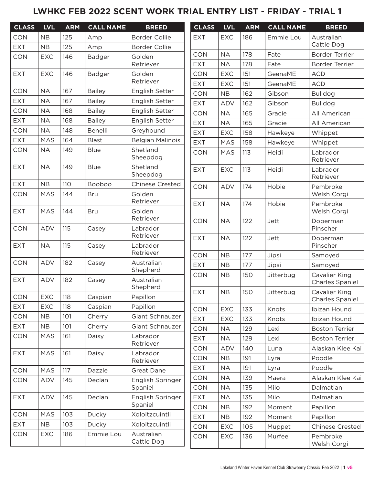### **LWHKC FEB 2022 SCENT WORK TRIAL ENTRY LIST - FRIDAY - TRIAL 1**

| <b>CLASS</b>          | <b>LVL</b> | <b>ARM</b> | <b>CALL NAME</b> | <b>BREED</b>                | <b>CLASS</b> | <b>LVL</b> | <b>ARM</b> | <b>CALL NAME</b> | <b>BREED</b>                            |
|-----------------------|------------|------------|------------------|-----------------------------|--------------|------------|------------|------------------|-----------------------------------------|
| <b>CON</b>            | <b>NB</b>  | 125        | Amp              | <b>Border Collie</b>        | <b>EXT</b>   | <b>EXC</b> | 186        | Emmie Lou        | Australian                              |
| <b>EXT</b>            | NB         | 125        | Amp              | <b>Border Collie</b>        |              |            |            |                  | Cattle Dog                              |
| CON                   | <b>EXC</b> | 146        | Badger           | Golden                      | <b>CON</b>   | <b>NA</b>  | 178        | Fate             | Border Terrier                          |
|                       |            |            |                  | Retriever                   | <b>EXT</b>   | <b>NA</b>  | 178        | Fate             | <b>Border Terrier</b>                   |
| EXT                   | <b>EXC</b> | 146        | Badger           | Golden<br>Retriever         | <b>CON</b>   | <b>EXC</b> | 151        | GeenaME          | <b>ACD</b>                              |
| <b>CON</b>            | <b>NA</b>  | 167        | <b>Bailey</b>    | English Setter              | <b>EXT</b>   | <b>EXC</b> | 151        | GeenaME          | <b>ACD</b>                              |
| <b>EXT</b>            | <b>NA</b>  | 167        | <b>Bailey</b>    | English Setter              | <b>CON</b>   | NB         | 162        | Gibson           | <b>Bulldog</b>                          |
| <b>CON</b>            | <b>NA</b>  | 168        | <b>Bailey</b>    | English Setter              | <b>EXT</b>   | <b>ADV</b> | 162        | Gibson           | <b>Bulldog</b>                          |
| <b>EXT</b>            | <b>NA</b>  | 168        | <b>Bailey</b>    | English Setter              | <b>CON</b>   | <b>NA</b>  | 165        | Gracie           | All American                            |
| <b>CON</b>            | <b>NA</b>  | 148        | Benelli          | Greyhound                   | <b>EXT</b>   | <b>NA</b>  | 165        | Gracie           | All American                            |
| <b>EXT</b>            | <b>MAS</b> | 164        | <b>Blast</b>     | <b>Belgian Malinois</b>     | <b>EXT</b>   | <b>EXC</b> | 158        | Hawkeye          | Whippet                                 |
| CON                   | <b>NA</b>  | 149        | <b>Blue</b>      | Shetland                    | <b>EXT</b>   | <b>MAS</b> | 158        | Hawkeye          | Whippet                                 |
|                       |            |            |                  | Sheepdog                    | <b>CON</b>   | <b>MAS</b> | 113        | Heidi            | Labrador<br>Retriever                   |
| <b>EXT</b>            | <b>NA</b>  | 149        | <b>Blue</b>      | Shetland<br>Sheepdog        | <b>EXT</b>   | <b>EXC</b> | 113        | Heidi            | Labrador<br>Retriever                   |
| EXT                   | NB         | 110        | <b>Booboo</b>    | <b>Chinese Crested</b>      | CON          | ADV        | 174        | Hobie            | Pembroke                                |
| <b>CON</b>            | <b>MAS</b> | 144        | <b>Bru</b>       | Golden                      |              |            |            |                  | Welsh Corgi                             |
| <b>EXT</b>            | <b>MAS</b> | 144        | <b>Bru</b>       | Retriever<br>Golden         | <b>EXT</b>   | <b>NA</b>  | 174        | Hobie            | Pembroke<br>Welsh Corgi                 |
|                       |            |            |                  | Retriever                   | <b>CON</b>   | <b>NA</b>  | 122        | Jett             | Doberman                                |
| CON                   | ADV        | 115        | Casey            | Labrador                    |              |            |            |                  | Pinscher                                |
| <b>EXT</b>            | <b>NA</b>  | 115        | Casey            | Retriever<br>Labrador       | <b>EXT</b>   | <b>NA</b>  | 122        | Jett             | Doberman<br>Pinscher                    |
|                       |            |            |                  | Retriever                   | <b>CON</b>   | NB         | 177        | Jipsi            | Samoyed                                 |
| <b>CON</b>            | ADV        | 182        | Casey            | Australian                  | <b>EXT</b>   | NB         | 177        | Jipsi            | Samoyed                                 |
|                       |            |            |                  | Shepherd                    | <b>CON</b>   | NB         | 150        | Jitterbug        | Cavalier King                           |
| EXT                   | ADV        | 182        | Casey            | Australian<br>Shepherd      |              |            |            |                  | Charles Spaniel                         |
| $\mathsf{CON}\xspace$ | EXC        | 118        | Caspian          | Papillon                    | <b>EXT</b>   | NB         | 150        | Jitterbug        | Cavalier King<br><b>Charles Spaniel</b> |
| <b>EXT</b>            | <b>EXC</b> | 118        | Caspian          | Papillon                    | <b>CON</b>   | <b>EXC</b> | 133        | Knots            | Ibizan Hound                            |
| <b>CON</b>            | NB         | 101        | Cherry           | Giant Schnauzer             | <b>EXT</b>   | EXC        | 133        | Knots            | Ibizan Hound                            |
| <b>EXT</b>            | <b>NB</b>  | 101        | Cherry           | Giant Schnauzer             | <b>CON</b>   | <b>NA</b>  | 129        | Lexi             | <b>Boston Terrier</b>                   |
| <b>CON</b>            | <b>MAS</b> | 161        | Daisy            | Labrador                    | <b>EXT</b>   | <b>NA</b>  | 129        | Lexi             | <b>Boston Terrier</b>                   |
|                       |            |            |                  | Retriever                   | <b>CON</b>   | ADV        | 140        | Luna             | Alaskan Klee Kai                        |
| EXT                   | <b>MAS</b> | 161        | Daisy            | Labrador                    | <b>CON</b>   | NB         | 191        | Lyra             | Poodle                                  |
|                       |            |            |                  | Retriever                   | <b>EXT</b>   | <b>NA</b>  | 191        | Lyra             | Poodle                                  |
| CON                   | MAS        | 117        | Dazzle           | Great Dane                  | <b>CON</b>   | <b>NA</b>  | 139        | Maera            | Alaskan Klee Kai                        |
| <b>CON</b>            | ADV        | 145        | Declan           | English Springer<br>Spaniel | <b>CON</b>   | <b>NA</b>  | 135        | Milo             | Dalmatian                               |
| <b>EXT</b>            | ADV        | 145        | Declan           | English Springer            | <b>EXT</b>   | <b>NA</b>  | 135        | Milo             | Dalmatian                               |
|                       |            |            |                  | Spaniel                     | <b>CON</b>   | NB         | 192        | Moment           | Papillon                                |
| CON                   | <b>MAS</b> | 103        | Ducky            | Xoloitzcuintli              | <b>EXT</b>   | NB         | 192        | Moment           | Papillon                                |
| <b>EXT</b>            | <b>NB</b>  | 103        | Ducky            | Xoloitzcuintli              | <b>CON</b>   | <b>EXC</b> | 105        | Muppet           | <b>Chinese Crested</b>                  |
| CON                   | <b>EXC</b> | 186        | Emmie Lou        | Australian                  | <b>CON</b>   | <b>EXC</b> | 136        | Murfee           | Pembroke                                |
|                       |            |            |                  | Cattle Dog                  |              |            |            |                  | Welsh Corgi                             |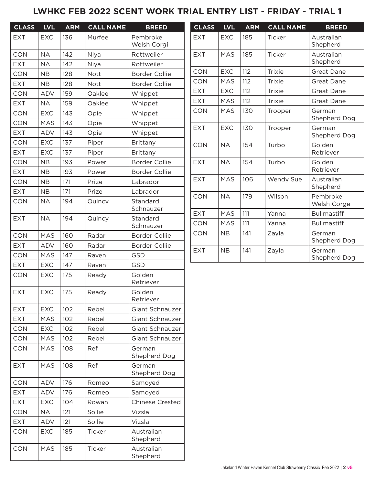### **LWHKC FEB 2022 SCENT WORK TRIAL ENTRY LIST - FRIDAY - TRIAL 1**

| <b>CLASS</b> | <b>LVL</b> | <b>ARM</b> | <b>CALL NAME</b> | <b>BREED</b>            | <b>CLASS</b> | <b>LVL</b> | <b>ARM</b> | <b>CALL NAME</b> | <b>BREED</b>           |
|--------------|------------|------------|------------------|-------------------------|--------------|------------|------------|------------------|------------------------|
| <b>EXT</b>   | <b>EXC</b> | 136        | Murfee           | Pembroke<br>Welsh Corgi | <b>EXT</b>   | <b>EXC</b> | 185        | Ticker           | Australian<br>Shepherd |
| <b>CON</b>   | <b>NA</b>  | 142        | Niya             | Rottweiler              | <b>EXT</b>   | MAS        | 185        | Ticker           | Australian             |
| <b>EXT</b>   | <b>NA</b>  | 142        | Niya             | Rottweiler              |              |            |            |                  | Shepherd               |
| <b>CON</b>   | <b>NB</b>  | 128        | <b>Nott</b>      | <b>Border Collie</b>    | <b>CON</b>   | <b>EXC</b> | 112        | <b>Trixie</b>    | Great Dane             |
| <b>EXT</b>   | NB         | 128        | Nott             | <b>Border Collie</b>    | <b>CON</b>   | <b>MAS</b> | 112        | <b>Trixie</b>    | <b>Great Dane</b>      |
| <b>CON</b>   | <b>ADV</b> | 159        | Oaklee           | Whippet                 | <b>EXT</b>   | <b>EXC</b> | 112        | <b>Trixie</b>    | <b>Great Dane</b>      |
| <b>EXT</b>   | <b>NA</b>  | 159        | Oaklee           | Whippet                 | <b>EXT</b>   | <b>MAS</b> | 112        | <b>Trixie</b>    | <b>Great Dane</b>      |
| <b>CON</b>   | <b>EXC</b> | 143        | Opie             | Whippet                 | <b>CON</b>   | <b>MAS</b> | 130        | Trooper          | German<br>Shepherd Dog |
| CON          | <b>MAS</b> | 143        | Opie             | Whippet                 | <b>EXT</b>   | <b>EXC</b> | 130        | Trooper          | German                 |
| <b>EXT</b>   | <b>ADV</b> | 143        | Opie             | Whippet                 |              |            |            |                  | Shepherd Dog           |
| <b>CON</b>   | <b>EXC</b> | 137        | Piper            | Brittany                | <b>CON</b>   | <b>NA</b>  | 154        | Turbo            | Golden                 |
| <b>EXT</b>   | <b>EXC</b> | 137        | Piper            | <b>Brittany</b>         |              |            |            |                  | Retriever              |
| <b>CON</b>   | <b>NB</b>  | 193        | Power            | <b>Border Collie</b>    | <b>EXT</b>   | <b>NA</b>  | 154        | Turbo            | Golden                 |
| <b>EXT</b>   | NB         | 193        | Power            | <b>Border Collie</b>    |              |            |            |                  | Retriever              |
| <b>CON</b>   | <b>NB</b>  | 171        | Prize            | Labrador                | <b>EXT</b>   | <b>MAS</b> | 106        | Wendy Sue        | Australian<br>Shepherd |
| <b>EXT</b>   | <b>NB</b>  | 171        | Prize            | Labrador                | <b>CON</b>   | <b>NA</b>  | 179        | Wilson           | Pembroke               |
| <b>CON</b>   | <b>NA</b>  | 194        | Quincy           | Standard<br>Schnauzer   |              |            |            |                  | Welsh Corge            |
| <b>EXT</b>   | <b>NA</b>  | 194        | Quincy           | Standard                | <b>EXT</b>   | <b>MAS</b> | 111        | Yanna            | <b>Bullmastiff</b>     |
|              |            |            |                  | Schnauzer               | CON          | <b>MAS</b> | 111        | Yanna            | <b>Bullmastiff</b>     |
| <b>CON</b>   | <b>MAS</b> | 160        | Radar            | <b>Border Collie</b>    | <b>CON</b>   | NB         | 141        | Zayla            | German<br>Shepherd Dog |
| <b>EXT</b>   | ADV        | 160        | Radar            | <b>Border Collie</b>    | <b>EXT</b>   | <b>NB</b>  | 141        |                  | German                 |
| CON          | <b>MAS</b> | 147        | Raven            | <b>GSD</b>              |              |            |            | Zayla            | Shepherd Dog           |
| <b>EXT</b>   | <b>EXC</b> | 147        | Raven            | GSD                     |              |            |            |                  |                        |
| <b>CON</b>   | <b>EXC</b> | 175        | Ready            | Golden<br>Retriever     |              |            |            |                  |                        |
| <b>EXT</b>   | EXC        | 175        | Ready            | Golden<br>Retriever     |              |            |            |                  |                        |
| <b>EXT</b>   | <b>EXC</b> | 102        | Rebel            | Giant Schnauzer         |              |            |            |                  |                        |
| <b>EXT</b>   | MAS        | 102        | Rebel            | Giant Schnauzer         |              |            |            |                  |                        |
| <b>CON</b>   | <b>EXC</b> | 102        | Rebel            | Giant Schnauzer         |              |            |            |                  |                        |
| CON          | <b>MAS</b> | 102        | Rebel            | Giant Schnauzer         |              |            |            |                  |                        |
| <b>CON</b>   | <b>MAS</b> | 108        | Ref              | German<br>Shepherd Dog  |              |            |            |                  |                        |
| <b>EXT</b>   | MAS        | 108        | Ref              | German<br>Shepherd Dog  |              |            |            |                  |                        |
| <b>CON</b>   | ADV        | 176        | Romeo            | Samoyed                 |              |            |            |                  |                        |
| <b>EXT</b>   | ADV        | 176        | Romeo            | Samoyed                 |              |            |            |                  |                        |
| <b>EXT</b>   | <b>EXC</b> | 104        | Rowan            | <b>Chinese Crested</b>  |              |            |            |                  |                        |
| <b>CON</b>   | <b>NA</b>  | 121        | Sollie           | Vizsla                  |              |            |            |                  |                        |
| <b>EXT</b>   | ADV        | 121        | Sollie           | Vizsla                  |              |            |            |                  |                        |
| <b>CON</b>   | <b>EXC</b> | 185        | Ticker           | Australian<br>Shepherd  |              |            |            |                  |                        |
| <b>CON</b>   | <b>MAS</b> | 185        | Ticker           | Australian<br>Shepherd  |              |            |            |                  |                        |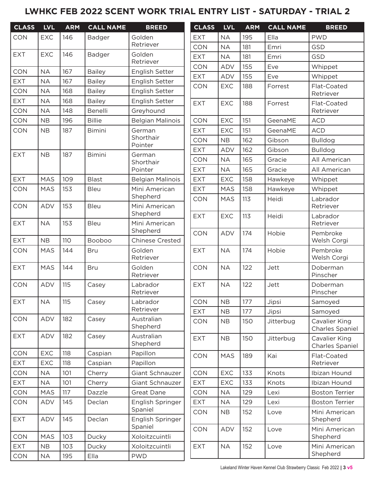# **LWHKC FEB 2022 SCENT WORK TRIAL ENTRY LIST - SATURDAY - TRIAL 2**

| <b>CLASS</b> | <b>LVL</b> | <b>ARM</b> | <b>CALL NAME</b> | <b>BREED</b>                | <b>CLASS</b> | <b>LVL</b> | <b>ARM</b> | <b>CALL NAME</b> | <b>BREED</b>                     |
|--------------|------------|------------|------------------|-----------------------------|--------------|------------|------------|------------------|----------------------------------|
| <b>CON</b>   | <b>EXC</b> | 146        | Badger           | Golden                      | <b>EXT</b>   | <b>NA</b>  | 195        | Ella             | <b>PWD</b>                       |
|              |            |            |                  | Retriever                   | <b>CON</b>   | <b>NA</b>  | 181        | Emri             | GSD                              |
| <b>EXT</b>   | <b>EXC</b> | 146        | Badger           | Golden<br>Retriever         | <b>EXT</b>   | <b>NA</b>  | 181        | Emri             | <b>GSD</b>                       |
| CON          | <b>NA</b>  | 167        | <b>Bailey</b>    | English Setter              | <b>CON</b>   | <b>ADV</b> | 155        | Eve              | Whippet                          |
| <b>EXT</b>   | <b>NA</b>  | 167        | <b>Bailey</b>    | English Setter              | <b>EXT</b>   | ADV        | 155        | Eve              | Whippet                          |
| <b>CON</b>   | <b>NA</b>  | 168        | <b>Bailey</b>    | English Setter              | <b>CON</b>   | <b>EXC</b> | 188        | Forrest          | Flat-Coated                      |
| <b>EXT</b>   | <b>NA</b>  | 168        | <b>Bailey</b>    | English Setter              |              |            |            |                  | Retriever                        |
| CON          | <b>NA</b>  | 148        | Benelli          | Greyhound                   | <b>EXT</b>   | <b>EXC</b> | 188        | Forrest          | Flat-Coated<br>Retriever         |
| CON          | NB         | 196        | <b>Billie</b>    | <b>Belgian Malinois</b>     | <b>CON</b>   | <b>EXC</b> | 151        | GeenaME          | <b>ACD</b>                       |
| CON          | NB         | 187        | <b>Bimini</b>    | German                      | <b>EXT</b>   | <b>EXC</b> | 151        | GeenaME          | <b>ACD</b>                       |
|              |            |            |                  | Shorthair                   | <b>CON</b>   | NB         | 162        | Gibson           | <b>Bulldog</b>                   |
|              |            |            |                  | Pointer                     | <b>EXT</b>   | ADV        | 162        | Gibson           | <b>Bulldog</b>                   |
| <b>EXT</b>   | NB         | 187        | <b>Bimini</b>    | German<br>Shorthair         | <b>CON</b>   | <b>NA</b>  | 165        | Gracie           | All American                     |
|              |            |            |                  | Pointer                     | <b>EXT</b>   | <b>NA</b>  | 165        | Gracie           | All American                     |
| <b>EXT</b>   | <b>MAS</b> | 109        | <b>Blast</b>     | <b>Belgian Malinois</b>     | <b>EXT</b>   | <b>EXC</b> | 158        | Hawkeye          | Whippet                          |
| CON          | <b>MAS</b> | 153        | <b>Bleu</b>      | Mini American               | <b>EXT</b>   | <b>MAS</b> | 158        | Hawkeye          | Whippet                          |
|              |            |            |                  | Shepherd                    | <b>CON</b>   | <b>MAS</b> | 113        | Heidi            | Labrador                         |
| CON          | ADV        | 153        | Bleu             | Mini American               |              |            |            |                  | Retriever                        |
| <b>EXT</b>   | <b>NA</b>  | 153        | <b>Bleu</b>      | Shepherd<br>Mini American   | <b>EXT</b>   | EXC        | 113        | Heidi            | Labrador                         |
|              |            |            |                  | Shepherd                    | <b>CON</b>   | ADV        | 174        | Hobie            | Retriever<br>Pembroke            |
| <b>EXT</b>   | NB         | 110        | Booboo           | <b>Chinese Crested</b>      |              |            |            |                  | Welsh Corgi                      |
| CON          | <b>MAS</b> | 144        | <b>Bru</b>       | Golden                      | <b>EXT</b>   | <b>NA</b>  | 174        | Hobie            | Pembroke                         |
|              |            |            |                  | Retriever                   |              |            |            |                  | Welsh Corgi                      |
| EXT          | <b>MAS</b> | 144        | <b>Bru</b>       | Golden<br>Retriever         | <b>CON</b>   | <b>NA</b>  | 122        | Jett             | Doberman<br>Pinscher             |
| CON          | <b>ADV</b> | 115        | Casey            | Labrador<br>Retriever       | <b>EXT</b>   | <b>NA</b>  | 122        | Jett             | Doberman<br>Pinscher             |
| <b>EXT</b>   | <b>NA</b>  | 115        | Casey            | Labrador                    | <b>CON</b>   | NB         | 177        | Jipsi            | Samoyed                          |
|              |            |            |                  | Retriever                   | <b>EXT</b>   | NB         | 177        | Jipsi            | Samoyed                          |
| CON          | <b>ADV</b> | 182        | Casey            | Australian<br>Shepherd      | <b>CON</b>   | NB         | 150        | Jitterbug        | Cavalier King<br>Charles Spaniel |
| <b>EXT</b>   | ADV        | 182        | Casey            | Australian<br>Shepherd      | <b>EXT</b>   | NB         | 150        | Jitterbug        | Cavalier King<br>Charles Spaniel |
| <b>CON</b>   | <b>EXC</b> | 118        | Caspian          | Papillon                    | <b>CON</b>   | <b>MAS</b> | 189        | Kai              | Flat-Coated                      |
| <b>EXT</b>   | <b>EXC</b> | 118        | Caspian          | Papillon                    |              |            |            |                  | Retriever                        |
| <b>CON</b>   | <b>NA</b>  | 101        | Cherry           | Giant Schnauzer             | <b>CON</b>   | <b>EXC</b> | 133        | Knots            | Ibizan Hound                     |
| <b>EXT</b>   | <b>NA</b>  | 101        | Cherry           | Giant Schnauzer             | <b>EXT</b>   | <b>EXC</b> | 133        | Knots            | Ibizan Hound                     |
| CON          | MAS        | 117        | Dazzle           | Great Dane                  | CON          | <b>NA</b>  | 129        | Lexi             | <b>Boston Terrier</b>            |
| <b>CON</b>   | ADV        | 145        | Declan           | English Springer            | <b>EXT</b>   | <b>NA</b>  | 129        | Lexi             | <b>Boston Terrier</b>            |
| <b>EXT</b>   | ADV        | 145        | Declan           | Spaniel<br>English Springer | <b>CON</b>   | NB         | 152        | Love             | Mini American<br>Shepherd        |
|              |            |            |                  | Spaniel                     | <b>CON</b>   | ADV        | 152        | Love             | Mini American                    |
| CON          | <b>MAS</b> | 103        | Ducky            | Xoloitzcuintli              |              |            |            |                  | Shepherd                         |
| <b>EXT</b>   | NB         | 103        | Ducky            | Xoloitzcuintli              | <b>EXT</b>   | <b>NA</b>  | 152        | Love             | Mini American<br>Shepherd        |
| CON          | <b>NA</b>  | 195        | Ella             | <b>PWD</b>                  |              |            |            |                  |                                  |

Lakeland Winter Haven Kennel Club Strawberry Classic Feb 2022 **| 3 v5**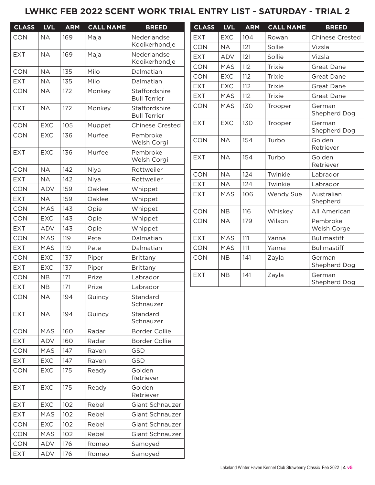# **LWHKC FEB 2022 SCENT WORK TRIAL ENTRY LIST - SATURDAY - TRIAL 2**

| <b>CLASS</b> | <b>LVL</b> | <b>ARM</b> | <b>CALL NAME</b> | <b>BREED</b>                         | <b>CLASS</b> | <b>LVL</b> | <b>ARM</b> | <b>CALL NAME</b> | <b>BREED</b>           |
|--------------|------------|------------|------------------|--------------------------------------|--------------|------------|------------|------------------|------------------------|
| <b>CON</b>   | <b>NA</b>  | 169        | Maja             | Nederlandse                          | <b>EXT</b>   | <b>EXC</b> | 104        | Rowan            | <b>Chinese Crested</b> |
|              |            |            |                  | Kooikerhondje                        | <b>CON</b>   | <b>NA</b>  | 121        | Sollie           | Vizsla                 |
| <b>EXT</b>   | <b>NA</b>  | 169        | Maja             | Nederlandse                          | <b>EXT</b>   | <b>ADV</b> | 121        | Sollie           | Vizsla                 |
|              |            |            |                  | Kooikerhondje                        | <b>CON</b>   | <b>MAS</b> | 112        | <b>Trixie</b>    | <b>Great Dane</b>      |
| <b>CON</b>   | <b>NA</b>  | 135        | Milo             | Dalmatian                            | <b>CON</b>   | <b>EXC</b> | 112        | <b>Trixie</b>    | <b>Great Dane</b>      |
| <b>EXT</b>   | <b>NA</b>  | 135        | Milo             | Dalmatian                            | <b>EXT</b>   | <b>EXC</b> | 112        | Trixie           | Great Dane             |
| <b>CON</b>   | <b>NA</b>  | 172        | Monkey           | Staffordshire<br><b>Bull Terrier</b> | <b>EXT</b>   | <b>MAS</b> | 112        | Trixie           | <b>Great Dane</b>      |
| <b>EXT</b>   | <b>NA</b>  | 172        | Monkey           | Staffordshire<br><b>Bull Terrier</b> | <b>CON</b>   | <b>MAS</b> | 130        | Trooper          | German<br>Shepherd Dog |
| <b>CON</b>   | EXC        | 105        | Muppet           | <b>Chinese Crested</b>               | <b>EXT</b>   | <b>EXC</b> | 130        | Trooper          | German                 |
| CON          | <b>EXC</b> | 136        | Murfee           | Pembroke<br>Welsh Corgi              | <b>CON</b>   | <b>NA</b>  | 154        | Turbo            | Shepherd Dog<br>Golden |
| <b>EXT</b>   | <b>EXC</b> | 136        | Murfee           | Pembroke<br>Welsh Corgi              | <b>EXT</b>   | <b>NA</b>  | 154        | Turbo            | Retriever<br>Golden    |
| <b>CON</b>   | <b>NA</b>  | 142        | Niya             | Rottweiler                           |              |            |            |                  | Retriever              |
| <b>EXT</b>   | <b>NA</b>  | 142        | Niya             | Rottweiler                           | <b>CON</b>   | <b>NA</b>  | 124        | Twinkie          | Labrador               |
| <b>CON</b>   | <b>ADV</b> | 159        | Oaklee           | Whippet                              | <b>EXT</b>   | <b>NA</b>  | 124        | Twinkie          | Labrador               |
| <b>EXT</b>   | <b>NA</b>  | 159        | Oaklee           | Whippet                              | <b>EXT</b>   | <b>MAS</b> | 106        | Wendy Sue        | Australian<br>Shepherd |
| <b>CON</b>   | <b>MAS</b> | 143        | Opie             | Whippet                              | <b>CON</b>   | NB         | 116        | Whiskey          | All American           |
| <b>CON</b>   | <b>EXC</b> | 143        | Opie             | Whippet                              | <b>CON</b>   | <b>NA</b>  | 179        | Wilson           | Pembroke               |
| <b>EXT</b>   | <b>ADV</b> | 143        | Opie             | Whippet                              |              |            |            |                  | Welsh Corge            |
| <b>CON</b>   | <b>MAS</b> | 119        | Pete             | Dalmatian                            | <b>EXT</b>   | <b>MAS</b> | 111        | Yanna            | <b>Bullmastiff</b>     |
| <b>EXT</b>   | <b>MAS</b> | 119        | Pete             | Dalmatian                            | <b>CON</b>   | <b>MAS</b> | 111        | Yanna            | <b>Bullmastiff</b>     |
| <b>CON</b>   | <b>EXC</b> | 137        | Piper            | Brittany                             | <b>CON</b>   | NB         | 141        | Zayla            | German                 |
| <b>EXT</b>   | EXC        | 137        | Piper            | Brittany                             |              |            |            |                  | Shepherd Dog           |
| <b>CON</b>   | NB         | 171        | Prize            | Labrador                             | <b>EXT</b>   | <b>NB</b>  | 141        | Zayla            | German<br>Shepherd Dog |
| <b>EXT</b>   | <b>NB</b>  | 171        | Prize            | Labrador                             |              |            |            |                  |                        |
| <b>CON</b>   | $\sf NA$   | 194        | Quincy           | Standard<br>Schnauzer                |              |            |            |                  |                        |
| <b>EXT</b>   | <b>NA</b>  | 194        | Quincy           | Standard<br>Schnauzer                |              |            |            |                  |                        |
| <b>CON</b>   | <b>MAS</b> | 160        | Radar            | Border Collie                        |              |            |            |                  |                        |
| <b>EXT</b>   | ADV        | 160        | Radar            | Border Collie                        |              |            |            |                  |                        |
| <b>CON</b>   | <b>MAS</b> | 147        | Raven            | <b>GSD</b>                           |              |            |            |                  |                        |
| <b>EXT</b>   | <b>EXC</b> | 147        | Raven            | <b>GSD</b>                           |              |            |            |                  |                        |
| <b>CON</b>   | <b>EXC</b> | 175        | Ready            | Golden<br>Retriever                  |              |            |            |                  |                        |
| <b>EXT</b>   | <b>EXC</b> | 175        | Ready            | Golden<br>Retriever                  |              |            |            |                  |                        |
| <b>EXT</b>   | <b>EXC</b> | 102        | Rebel            | Giant Schnauzer                      |              |            |            |                  |                        |
| <b>EXT</b>   | <b>MAS</b> | 102        | Rebel            | Giant Schnauzer                      |              |            |            |                  |                        |
| <b>CON</b>   | <b>EXC</b> | 102        | Rebel            | Giant Schnauzer                      |              |            |            |                  |                        |
| CON          | <b>MAS</b> | 102        | Rebel            | Giant Schnauzer                      |              |            |            |                  |                        |
| <b>CON</b>   | ADV        | 176        | Romeo            | Samoyed                              |              |            |            |                  |                        |
| <b>EXT</b>   | ADV        | 176        | Romeo            | Samoyed                              |              |            |            |                  |                        |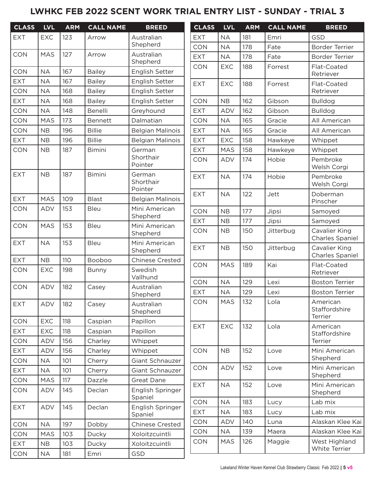### **LWHKC FEB 2022 SCENT WORK TRIAL ENTRY LIST - SUNDAY - TRIAL 3**

| <b>CLASS</b> | <b>LVL</b> | <b>ARM</b> | <b>CALL NAME</b> | <b>BREED</b>                   | <b>CLASS</b> | <b>LVL</b> | <b>ARM</b> | <b>CALL NAME</b> | <b>BREED</b>                         |
|--------------|------------|------------|------------------|--------------------------------|--------------|------------|------------|------------------|--------------------------------------|
| <b>EXT</b>   | <b>EXC</b> | 123        | Arrow            | Australian                     | <b>EXT</b>   | <b>NA</b>  | 181        | Emri             | <b>GSD</b>                           |
|              |            |            |                  | Shepherd                       | <b>CON</b>   | <b>NA</b>  | 178        | Fate             | <b>Border Terrier</b>                |
| <b>CON</b>   | <b>MAS</b> | 127        | Arrow            | Australian<br>Shepherd         | <b>EXT</b>   | <b>NA</b>  | 178        | Fate             | <b>Border Terrier</b>                |
| <b>CON</b>   | <b>NA</b>  | 167        | <b>Bailey</b>    | English Setter                 | <b>CON</b>   | <b>EXC</b> | 188        | Forrest          | Flat-Coated<br>Retriever             |
| <b>EXT</b>   | <b>NA</b>  | 167        | <b>Bailey</b>    | English Setter                 | <b>EXT</b>   | <b>EXC</b> | 188        | Forrest          | Flat-Coated                          |
| <b>CON</b>   | <b>NA</b>  | 168        | <b>Bailey</b>    | English Setter                 |              |            |            |                  | Retriever                            |
| <b>EXT</b>   | <b>NA</b>  | 168        | <b>Bailey</b>    | <b>English Setter</b>          | <b>CON</b>   | NB         | 162        | Gibson           | <b>Bulldog</b>                       |
| CON          | <b>NA</b>  | 148        | Benelli          | Greyhound                      | <b>EXT</b>   | ADV        | 162        | Gibson           | <b>Bulldog</b>                       |
| <b>CON</b>   | <b>MAS</b> | 173        | <b>Bennett</b>   | Dalmatian                      | CON          | <b>NA</b>  | 165        | Gracie           | All American                         |
| <b>CON</b>   | NB         | 196        | <b>Billie</b>    | <b>Belgian Malinois</b>        | <b>EXT</b>   | <b>NA</b>  | 165        | Gracie           | All American                         |
| <b>EXT</b>   | NB         | 196        | <b>Billie</b>    | <b>Belgian Malinois</b>        | <b>EXT</b>   | <b>EXC</b> | 158        | Hawkeye          | Whippet                              |
| CON          | <b>NB</b>  | 187        | <b>Bimini</b>    | German                         | <b>EXT</b>   | <b>MAS</b> | 158        | Hawkeye          | Whippet                              |
|              |            |            |                  | Shorthair<br>Pointer           | <b>CON</b>   | ADV        | 174        | Hobie            | Pembroke<br>Welsh Corgi              |
| <b>EXT</b>   | NB         | 187        | <b>Bimini</b>    | German<br>Shorthair<br>Pointer | <b>EXT</b>   | <b>NA</b>  | 174        | Hobie            | Pembroke<br>Welsh Corgi              |
| <b>EXT</b>   | <b>MAS</b> | 109        | <b>Blast</b>     | <b>Belgian Malinois</b>        | <b>EXT</b>   | <b>NA</b>  | 122        | Jett             | Doberman<br>Pinscher                 |
| CON          | ADV        | 153        | Bleu             | Mini American                  | <b>CON</b>   | <b>NB</b>  | 177        | Jipsi            | Samoyed                              |
|              |            |            |                  | Shepherd                       | <b>EXT</b>   | <b>NB</b>  | 177        | Jipsi            | Samoyed                              |
| <b>CON</b>   | <b>MAS</b> | 153        | <b>Bleu</b>      | Mini American<br>Shepherd      | CON          | <b>NB</b>  | 150        | Jitterbug        | Cavalier King<br>Charles Spaniel     |
| <b>EXT</b>   | <b>NA</b>  | 153        | <b>Bleu</b>      | Mini American<br>Shepherd      | <b>EXT</b>   | <b>NB</b>  | 150        | Jitterbug        | Cavalier King<br>Charles Spaniel     |
| <b>EXT</b>   | NB         | 110        | Booboo           | <b>Chinese Crested</b>         | <b>CON</b>   | <b>MAS</b> | 189        | Kai              | Flat-Coated                          |
| <b>CON</b>   | <b>EXC</b> | 198        | <b>Bunny</b>     | Swedish<br>Vallhund            |              |            |            |                  | Retriever                            |
| CON          | <b>ADV</b> | 182        | Casey            | Australian                     | <b>CON</b>   | <b>NA</b>  | 129        | Lexi             | <b>Boston Terrier</b>                |
|              |            |            |                  | Shepherd                       | <b>EXT</b>   | <b>NA</b>  | 129        | Lexi             | <b>Boston Terrier</b>                |
| <b>EXT</b>   | ADV        | 182        | Casey            | Australian<br>Shepherd         | CON          | <b>MAS</b> | 132        | Lola             | American<br>Staffordshire<br>Terrier |
| CON          | <b>EXC</b> | 118        | Caspian          | Papillon                       | <b>EXT</b>   | <b>EXC</b> | 132        | Lola             | American                             |
| <b>EXT</b>   | <b>EXC</b> | 118        | Caspian          | Papillon                       |              |            |            |                  | Staffordshire                        |
| CON          | <b>ADV</b> | 156        | Charley          | Whippet                        |              |            |            |                  | Terrier                              |
| <b>EXT</b>   | ADV        | 156        | Charley          | Whippet                        | <b>CON</b>   | NB         | 152        | Love             | Mini American                        |
| CON          | <b>NA</b>  | 101        | Cherry           | Giant Schnauzer                |              |            |            |                  | Shepherd                             |
| <b>EXT</b>   | <b>NA</b>  | 101        | Cherry           | Giant Schnauzer                | <b>CON</b>   | ADV        | 152        | Love             | Mini American<br>Shepherd            |
| <b>CON</b>   | <b>MAS</b> | 117        | Dazzle           | Great Dane                     | <b>EXT</b>   | <b>NA</b>  | 152        | Love             | Mini American                        |
| CON          | ADV        | 145        | Declan           | English Springer<br>Spaniel    |              |            |            |                  | Shepherd                             |
| <b>EXT</b>   | ADV        | 145        | Declan           | English Springer               | <b>CON</b>   | <b>NA</b>  | 183        | Lucy             | Lab mix                              |
|              |            |            |                  | Spaniel                        | <b>EXT</b>   | <b>NA</b>  | 183        | Lucy             | Lab mix                              |
| <b>CON</b>   | <b>NA</b>  | 197        | Dobby            | <b>Chinese Crested</b>         | CON          | ADV        | 140        | Luna             | Alaskan Klee Kai                     |
| CON          | <b>MAS</b> | 103        | Ducky            | Xoloitzcuintli                 | <b>CON</b>   | <b>NA</b>  | 139        | Maera            | Alaskan Klee Kai                     |
| <b>EXT</b>   | NB         | 103        | Ducky            | Xoloitzcuintli                 | <b>CON</b>   | <b>MAS</b> | 126        | Maggie           | West Highland<br>White Terrier       |
| CON          | NA         | 181        | Emri             | GSD                            |              |            |            |                  |                                      |